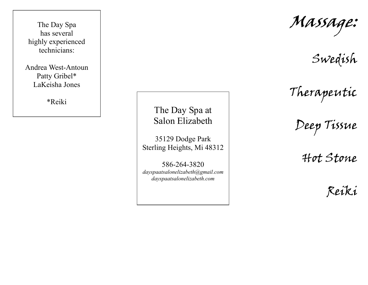The Day Spa has several highly experienced technicians:

Andrea West-Antoun Patty Gribel\* LaKeisha Jones

\*Reiki

The Day Spa at Salon Elizabeth

35129 Dodge Park Sterling Heights, Mi 48312

586-264-3820 *dayspaatsalonelizabeth@gmail.com dayspaatsalonelizabeth.com* 

Massage:

Swedish

Therapeutic

Deep Tissue

Hot Stone

Reiki